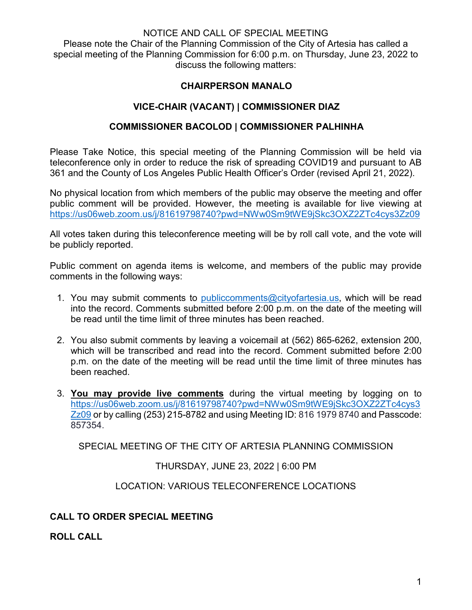#### NOTICE AND CALL OF SPECIAL MEETING

Please note the Chair of the Planning Commission of the City of Artesia has called a special meeting of the Planning Commission for 6:00 p.m. on Thursday, June 23, 2022 to discuss the following matters:

## **CHAIRPERSON MANALO**

# **VICE-CHAIR (VACANT) | COMMISSIONER DIAZ**

### **COMMISSIONER BACOLOD | COMMISSIONER PALHINHA**

Please Take Notice, this special meeting of the Planning Commission will be held via teleconference only in order to reduce the risk of spreading COVID19 and pursuant to AB 361 and the County of Los Angeles Public Health Officer's Order (revised April 21, 2022).

No physical location from which members of the public may observe the meeting and offer public comment will be provided. However, the meeting is available for live viewing at <https://us06web.zoom.us/j/81619798740?pwd=NWw0Sm9tWE9jSkc3OXZ2ZTc4cys3Zz09>

All votes taken during this teleconference meeting will be by roll call vote, and the vote will be publicly reported.

Public comment on agenda items is welcome, and members of the public may provide comments in the following ways:

- 1. You may submit comments to [publiccomments@cityofartesia.us,](mailto:publiccomments@cityofartesia.us) which will be read into the record. Comments submitted before 2:00 p.m. on the date of the meeting will be read until the time limit of three minutes has been reached.
- 2. You also submit comments by leaving a voicemail at (562) 865-6262, extension 200, which will be transcribed and read into the record. Comment submitted before 2:00 p.m. on the date of the meeting will be read until the time limit of three minutes has been reached.
- 3. **You may provide live comments** during the virtual meeting by logging on to [https://us06web.zoom.us/j/81619798740?pwd=NWw0Sm9tWE9jSkc3OXZ2ZTc4cys3](https://us06web.zoom.us/j/81619798740?pwd=NWw0Sm9tWE9jSkc3OXZ2ZTc4cys3Zz09) [Zz09](https://us06web.zoom.us/j/81619798740?pwd=NWw0Sm9tWE9jSkc3OXZ2ZTc4cys3Zz09) or by calling (253) 215-8782 and using Meeting ID: 816 1979 8740 and Passcode: 857354.

SPECIAL MEETING OF THE CITY OF ARTESIA PLANNING COMMISSION

THURSDAY, JUNE 23, 2022 | 6:00 PM

LOCATION: VARIOUS TELECONFERENCE LOCATIONS

# **CALL TO ORDER SPECIAL MEETING**

**ROLL CALL**